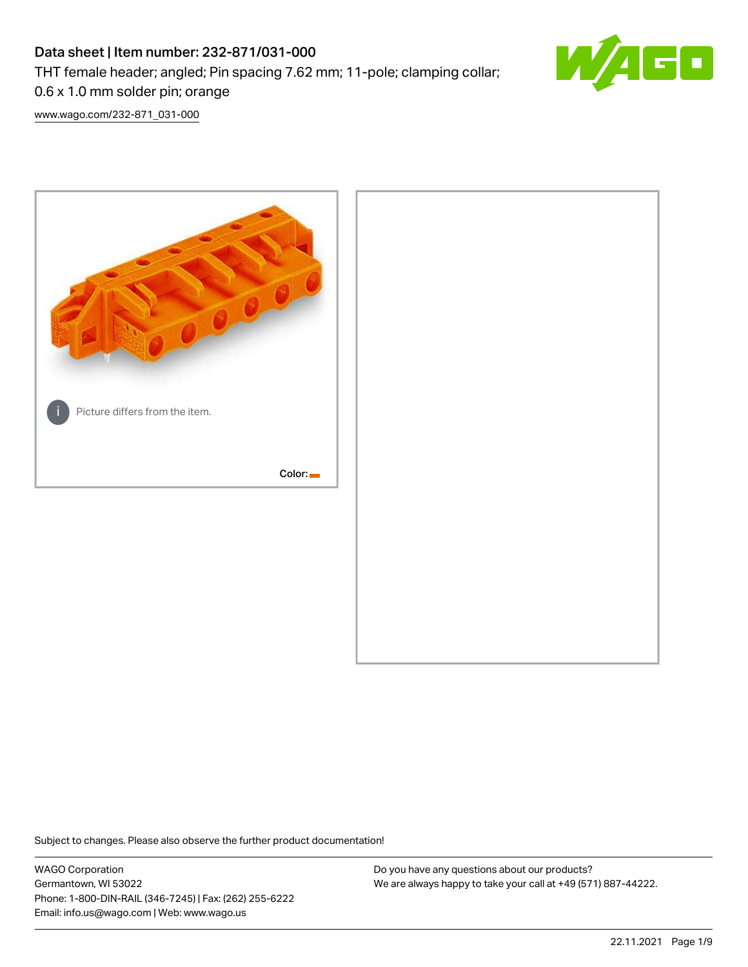# Data sheet | Item number: 232-871/031-000 THT female header; angled; Pin spacing 7.62 mm; 11-pole; clamping collar; 0.6 x 1.0 mm solder pin; orange



[www.wago.com/232-871\\_031-000](http://www.wago.com/232-871_031-000)



Subject to changes. Please also observe the further product documentation!

WAGO Corporation Germantown, WI 53022 Phone: 1-800-DIN-RAIL (346-7245) | Fax: (262) 255-6222 Email: info.us@wago.com | Web: www.wago.us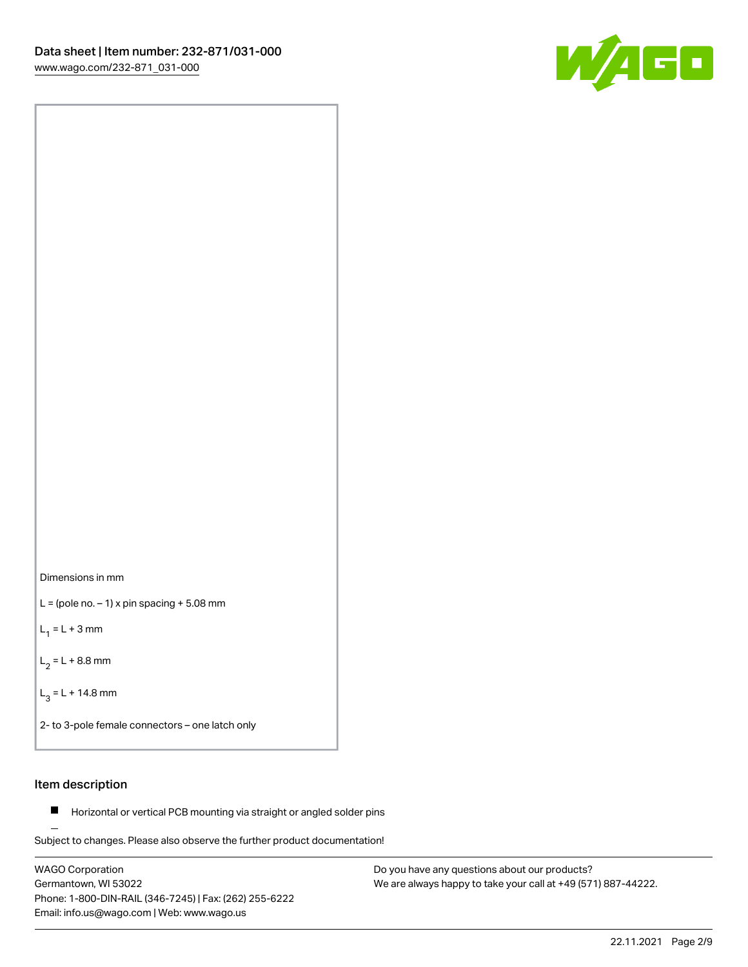

Dimensions in mm

 $L =$  (pole no.  $-1$ ) x pin spacing  $+5.08$  mm

 $L_1 = L + 3$  mm

 $L_2 = L + 8.8$  mm

 $L_3 = L + 14.8$  mm

2- to 3-pole female connectors – one latch only

#### Item description

**Horizontal or vertical PCB mounting via straight or angled solder pins** 

Subject to changes. Please also observe the further product documentation! For board-to-board and board-to-wire connections

WAGO Corporation Germantown, WI 53022 Phone: 1-800-DIN-RAIL (346-7245) | Fax: (262) 255-6222 Email: info.us@wago.com | Web: www.wago.us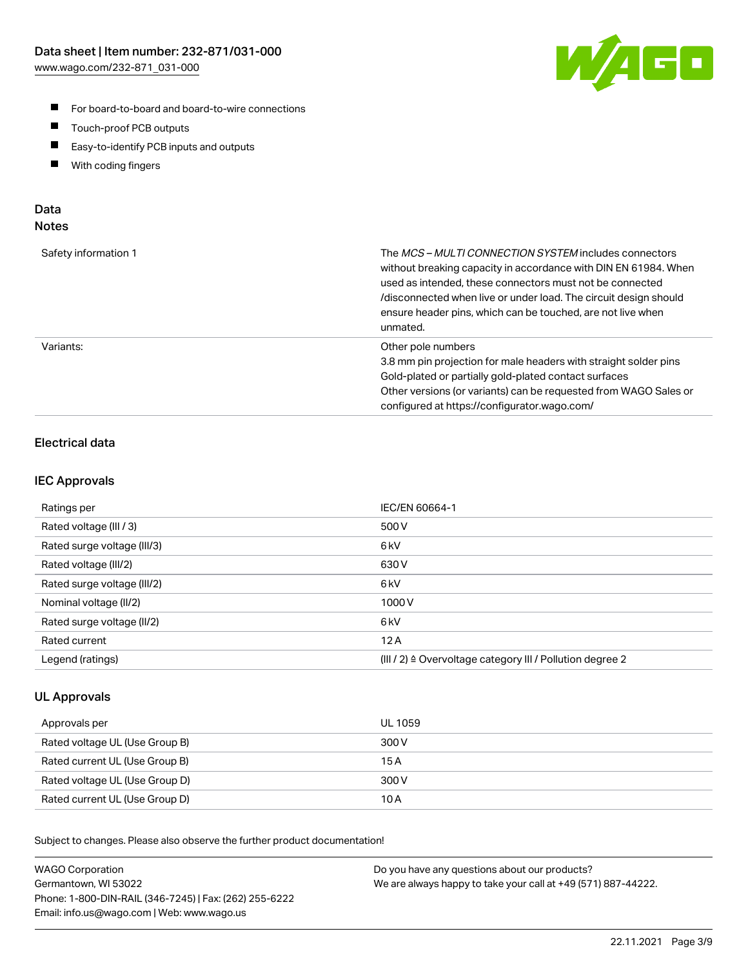

- For board-to-board and board-to-wire connections
- $\blacksquare$ Touch-proof PCB outputs
- $\blacksquare$ Easy-to-identify PCB inputs and outputs
- $\blacksquare$ With coding fingers

#### Data **Notes**

| Safety information 1 | The <i>MCS – MULTI CONNECTION SYSTEM</i> includes connectors<br>without breaking capacity in accordance with DIN EN 61984. When<br>used as intended, these connectors must not be connected<br>/disconnected when live or under load. The circuit design should<br>ensure header pins, which can be touched, are not live when<br>unmated. |
|----------------------|--------------------------------------------------------------------------------------------------------------------------------------------------------------------------------------------------------------------------------------------------------------------------------------------------------------------------------------------|
| Variants:            | Other pole numbers<br>3.8 mm pin projection for male headers with straight solder pins<br>Gold-plated or partially gold-plated contact surfaces<br>Other versions (or variants) can be requested from WAGO Sales or<br>configured at https://configurator.wago.com/                                                                        |

## Electrical data

#### IEC Approvals

| Ratings per                 | IEC/EN 60664-1                                                        |
|-----------------------------|-----------------------------------------------------------------------|
| Rated voltage (III / 3)     | 500 V                                                                 |
| Rated surge voltage (III/3) | 6 <sub>kV</sub>                                                       |
| Rated voltage (III/2)       | 630 V                                                                 |
| Rated surge voltage (III/2) | 6 <sub>kV</sub>                                                       |
| Nominal voltage (II/2)      | 1000 V                                                                |
| Rated surge voltage (II/2)  | 6 <sub>kV</sub>                                                       |
| Rated current               | 12A                                                                   |
| Legend (ratings)            | $(III / 2)$ $\triangle$ Overvoltage category III / Pollution degree 2 |

#### UL Approvals

| Approvals per                  | UL 1059 |
|--------------------------------|---------|
| Rated voltage UL (Use Group B) | 300 V   |
| Rated current UL (Use Group B) | 15 A    |
| Rated voltage UL (Use Group D) | 300 V   |
| Rated current UL (Use Group D) | 10 A    |

Subject to changes. Please also observe the further product documentation!

| <b>WAGO Corporation</b>                                | Do you have any questions about our products?                 |
|--------------------------------------------------------|---------------------------------------------------------------|
| Germantown, WI 53022                                   | We are always happy to take your call at +49 (571) 887-44222. |
| Phone: 1-800-DIN-RAIL (346-7245)   Fax: (262) 255-6222 |                                                               |
| Email: info.us@wago.com   Web: www.wago.us             |                                                               |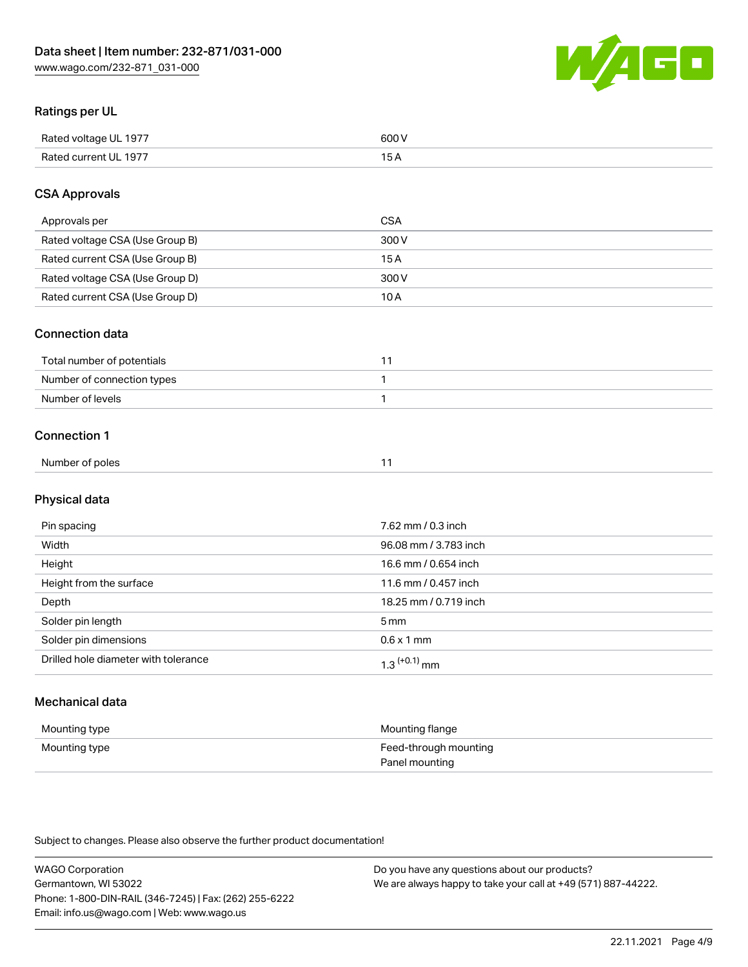

#### Ratings per UL

| Rated voltage UL 1977 | 600   |
|-----------------------|-------|
| Rated current UL 1977 | . O F |

#### CSA Approvals

| Approvals per                   | CSA   |
|---------------------------------|-------|
| Rated voltage CSA (Use Group B) | 300 V |
| Rated current CSA (Use Group B) | 15 A  |
| Rated voltage CSA (Use Group D) | 300 V |
| Rated current CSA (Use Group D) | 10 A  |

#### Connection data

| Total number of potentials |  |
|----------------------------|--|
| Number of connection types |  |
| Number of levels           |  |

#### Connection 1

| Number of poles |
|-----------------|
|-----------------|

# Physical data

| Pin spacing                          | 7.62 mm / 0.3 inch         |
|--------------------------------------|----------------------------|
| Width                                | 96.08 mm / 3.783 inch      |
| Height                               | 16.6 mm / 0.654 inch       |
| Height from the surface              | 11.6 mm / 0.457 inch       |
| Depth                                | 18.25 mm / 0.719 inch      |
| Solder pin length                    | $5 \,\mathrm{mm}$          |
| Solder pin dimensions                | $0.6 \times 1$ mm          |
| Drilled hole diameter with tolerance | $1.3$ <sup>(+0.1)</sup> mm |

# Mechanical data

| Mounting type | Mounting flange                         |
|---------------|-----------------------------------------|
| Mounting type | Feed-through mounting<br>Panel mounting |

Subject to changes. Please also observe the further product documentation!

| <b>WAGO Corporation</b>                                | Do you have any questions about our products?                 |
|--------------------------------------------------------|---------------------------------------------------------------|
| Germantown, WI 53022                                   | We are always happy to take your call at +49 (571) 887-44222. |
| Phone: 1-800-DIN-RAIL (346-7245)   Fax: (262) 255-6222 |                                                               |
| Email: info.us@wago.com   Web: www.wago.us             |                                                               |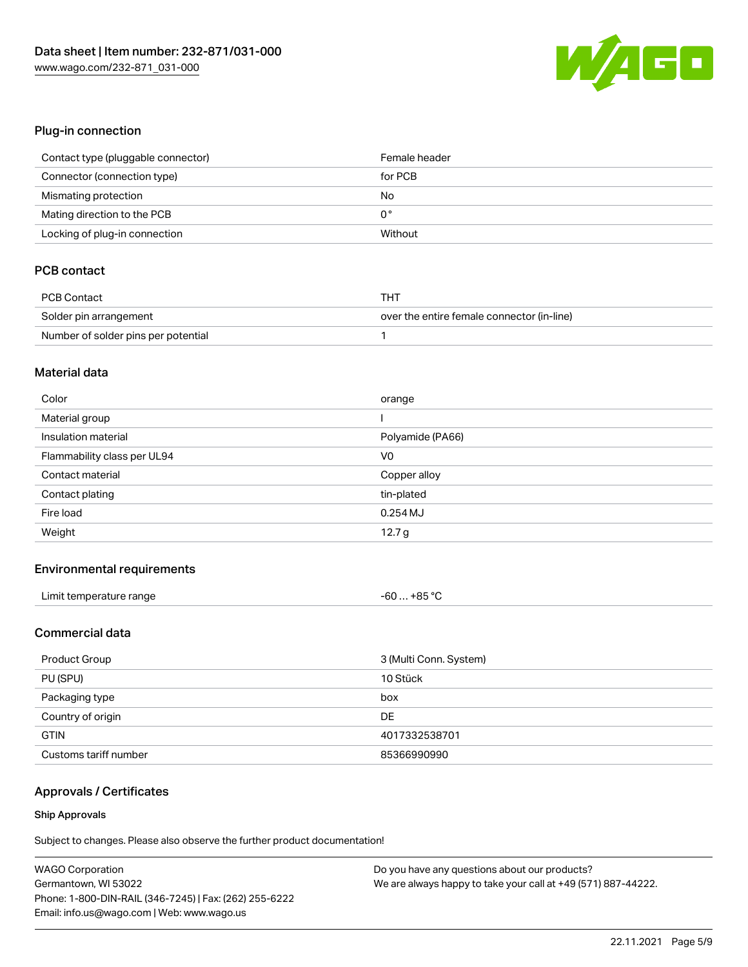

#### Plug-in connection

| Contact type (pluggable connector) | Female header |
|------------------------------------|---------------|
| Connector (connection type)        | for PCB       |
| Mismating protection               | No            |
| Mating direction to the PCB        | 0°            |
| Locking of plug-in connection      | Without       |

## PCB contact

| PCB Contact                         | тнт                                        |
|-------------------------------------|--------------------------------------------|
| Solder pin arrangement              | over the entire female connector (in-line) |
| Number of solder pins per potential |                                            |

#### Material data

| Color                       | orange           |
|-----------------------------|------------------|
| Material group              |                  |
| Insulation material         | Polyamide (PA66) |
| Flammability class per UL94 | V <sub>0</sub>   |
| Contact material            | Copper alloy     |
|                             |                  |
| Contact plating             | tin-plated       |
| Fire load                   | $0.254$ MJ       |

#### Environmental requirements

| Limit temperature range | $-60+85 °C$ |
|-------------------------|-------------|
|-------------------------|-------------|

#### Commercial data

| Product Group         | 3 (Multi Conn. System) |
|-----------------------|------------------------|
| PU (SPU)              | 10 Stück               |
| Packaging type        | box                    |
| Country of origin     | DE                     |
| <b>GTIN</b>           | 4017332538701          |
| Customs tariff number | 85366990990            |

# Approvals / Certificates

#### Ship Approvals

Subject to changes. Please also observe the further product documentation!

| <b>WAGO Corporation</b>                                | Do you have any questions about our products?                 |
|--------------------------------------------------------|---------------------------------------------------------------|
| Germantown, WI 53022                                   | We are always happy to take your call at +49 (571) 887-44222. |
| Phone: 1-800-DIN-RAIL (346-7245)   Fax: (262) 255-6222 |                                                               |
| Email: info.us@wago.com   Web: www.wago.us             |                                                               |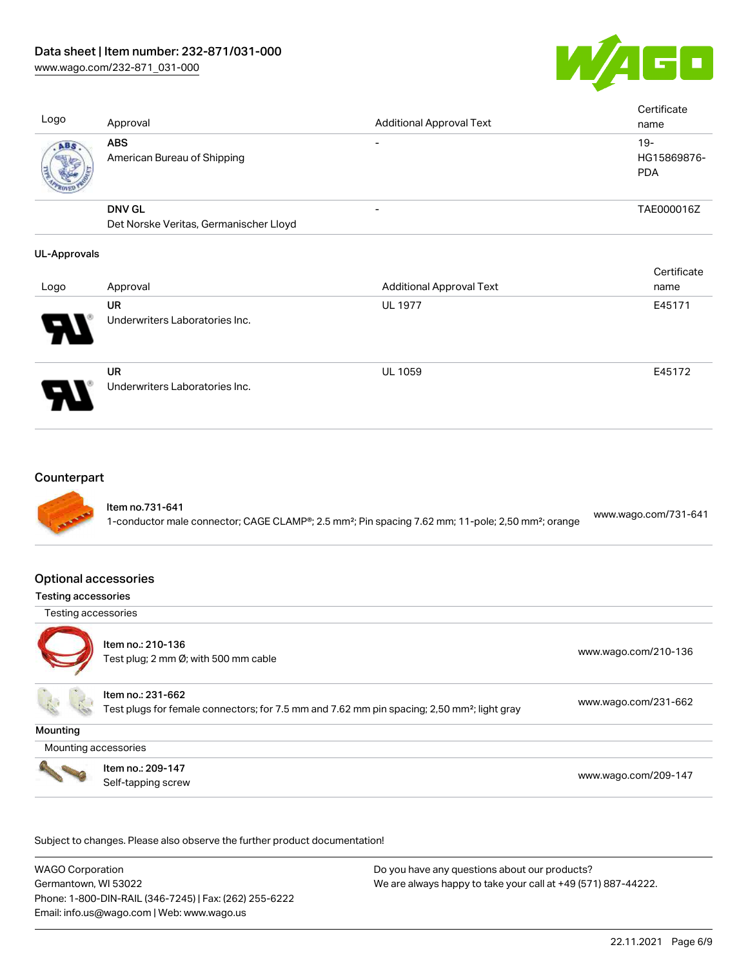[www.wago.com/232-871\\_031-000](http://www.wago.com/232-871_031-000)



Cortificate

| Logo | Approval                                                | <b>Additional Approval Text</b> | Certificate<br>name                |
|------|---------------------------------------------------------|---------------------------------|------------------------------------|
| ABS  | <b>ABS</b><br>American Bureau of Shipping               |                                 | $19-$<br>HG15869876-<br><b>PDA</b> |
|      | <b>DNV GL</b><br>Det Norske Veritas, Germanischer Lloyd |                                 | TAE000016Z                         |
|      |                                                         |                                 |                                    |

#### UL-Approvals

|      |                                      |                                 | <b>CELUILLATE</b> |
|------|--------------------------------------|---------------------------------|-------------------|
| Logo | Approval                             | <b>Additional Approval Text</b> | name              |
| Р.   | UR<br>Underwriters Laboratories Inc. | <b>UL 1977</b>                  | E45171            |
| Ъ.   | UR<br>Underwriters Laboratories Inc. | <b>UL 1059</b>                  | E45172            |

#### **Counterpart**



#### Optional accessories

#### Testing accessories

Testing accessories



Item no.: 210-136 Test plug; 2 nm Ø; with 500 mm cable [www.wago.com/210-136](http://www.wago.com/210-136)

Item no.: 231-662

Test plugs for female connectors; for 7.5 mm and 7.62 mm pin spacing; 2,50 mm²; light gray [www.wago.com/231-662](http://www.wago.com/231-662)

**Mounting** 

Mounting accessories



Item no.: 209-147 Next Trefficient Control 2001 147<br>Self-tapping screw [www.wago.com/209-147](http://www.wago.com/209-147)

Subject to changes. Please also observe the further product documentation!

WAGO Corporation Germantown, WI 53022 Phone: 1-800-DIN-RAIL (346-7245) | Fax: (262) 255-6222 Email: info.us@wago.com | Web: www.wago.us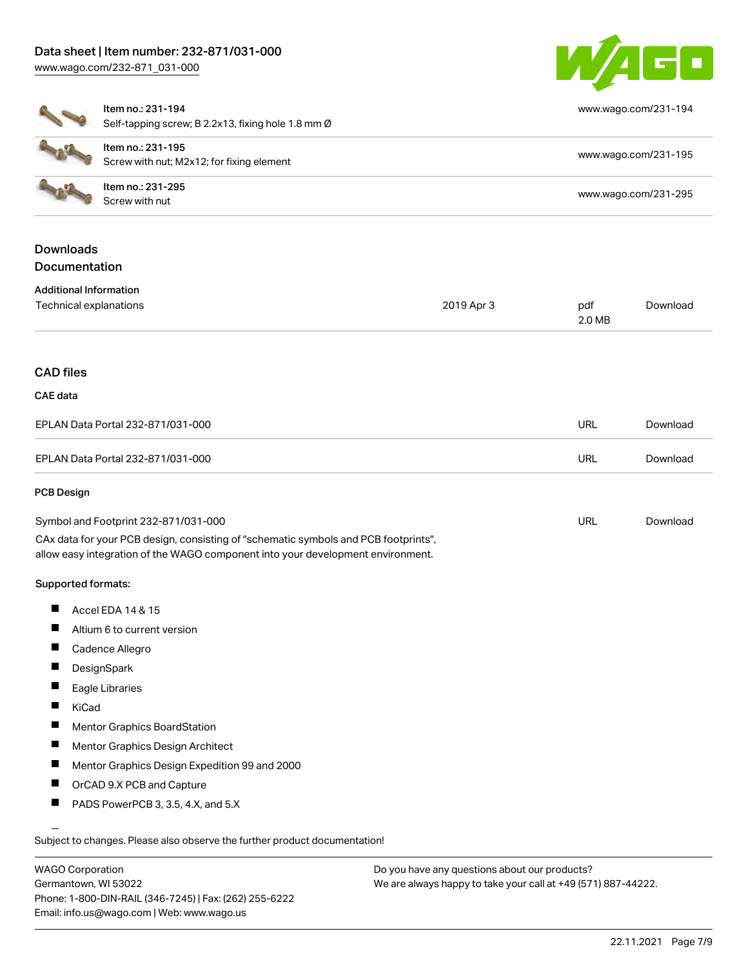# Data sheet | Item number: 232-871/031-000





|                                                         | Item no.: 231-194<br>Self-tapping screw; B 2.2x13, fixing hole 1.8 mm Ø                                                                                                                                        |            |               | www.wago.com/231-194 |
|---------------------------------------------------------|----------------------------------------------------------------------------------------------------------------------------------------------------------------------------------------------------------------|------------|---------------|----------------------|
|                                                         | Item no.: 231-195<br>Screw with nut; M2x12; for fixing element                                                                                                                                                 |            |               | www.wago.com/231-195 |
|                                                         | Item no.: 231-295<br>Screw with nut                                                                                                                                                                            |            |               | www.wago.com/231-295 |
| <b>Downloads</b><br>Documentation                       |                                                                                                                                                                                                                |            |               |                      |
| <b>Additional Information</b><br>Technical explanations |                                                                                                                                                                                                                | 2019 Apr 3 | pdf<br>2.0 MB | Download             |
| <b>CAD files</b>                                        |                                                                                                                                                                                                                |            |               |                      |
| <b>CAE</b> data                                         |                                                                                                                                                                                                                |            |               |                      |
|                                                         | EPLAN Data Portal 232-871/031-000                                                                                                                                                                              |            | <b>URL</b>    | Download             |
|                                                         | EPLAN Data Portal 232-871/031-000                                                                                                                                                                              |            | <b>URL</b>    | Download             |
| <b>PCB Design</b>                                       |                                                                                                                                                                                                                |            |               |                      |
|                                                         | Symbol and Footprint 232-871/031-000<br>CAx data for your PCB design, consisting of "schematic symbols and PCB footprints",<br>allow easy integration of the WAGO component into your development environment. |            | <b>URL</b>    | Download             |
| Supported formats:                                      |                                                                                                                                                                                                                |            |               |                      |
| ш                                                       | Accel EDA 14 & 15                                                                                                                                                                                              |            |               |                      |

- Altium 6 to current version  $\blacksquare$
- $\blacksquare$ Cadence Allegro
- **DesignSpark**  $\blacksquare$
- $\blacksquare$ Eagle Libraries
- $\blacksquare$ KiCad
- $\blacksquare$ Mentor Graphics BoardStation
- $\blacksquare$ Mentor Graphics Design Architect
- $\blacksquare$ Mentor Graphics Design Expedition 99 and 2000
- $\blacksquare$ OrCAD 9.X PCB and Capture
- П PADS PowerPCB 3, 3.5, 4.X, and 5.X

Subject to changes. Please also observe the further product documentation!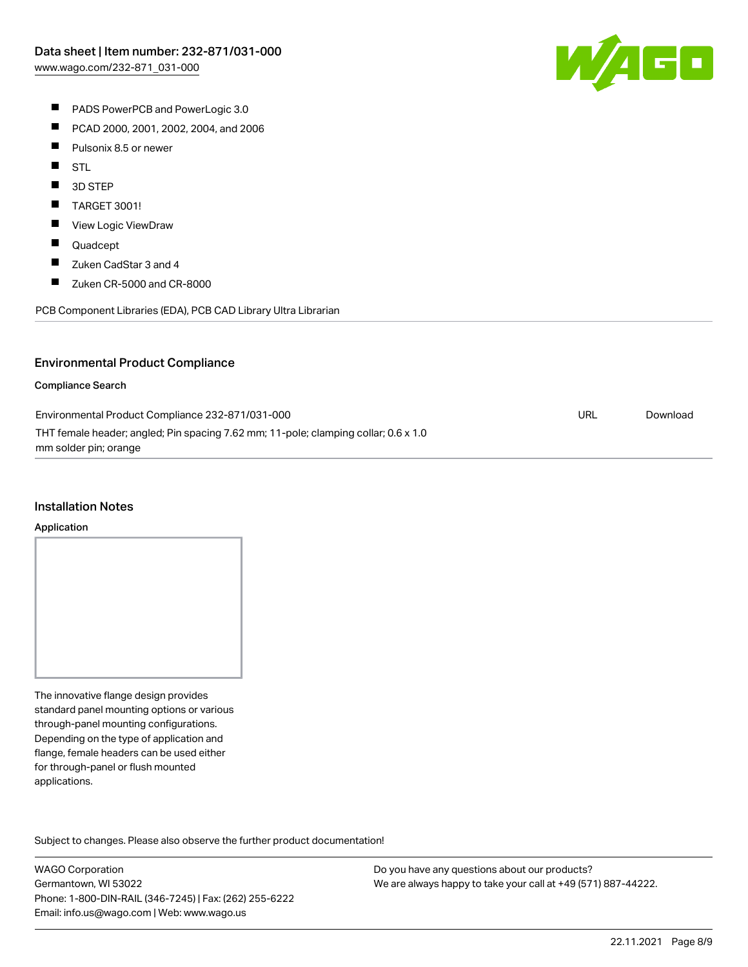

- **PADS PowerPCB and PowerLogic 3.0**
- $\blacksquare$ PCAD 2000, 2001, 2002, 2004, and 2006
- $\blacksquare$ Pulsonix 8.5 or newer
- $\blacksquare$ STL
- $\blacksquare$ 3D STEP
- $\blacksquare$ TARGET 3001!
- $\blacksquare$ View Logic ViewDraw
- $\blacksquare$ Quadcept
- $\blacksquare$ Zuken CadStar 3 and 4
- $\blacksquare$ Zuken CR-5000 and CR-8000

PCB Component Libraries (EDA), PCB CAD Library Ultra Librarian

#### Environmental Product Compliance

#### Compliance Search

| Environmental Product Compliance 232-871/031-000                                    | URL | Download |
|-------------------------------------------------------------------------------------|-----|----------|
| THT female header; angled; Pin spacing 7.62 mm; 11-pole; clamping collar; 0.6 x 1.0 |     |          |
| mm solder pin; orange                                                               |     |          |

#### Installation Notes

#### Application

The innovative flange design provides standard panel mounting options or various through-panel mounting configurations. Depending on the type of application and flange, female headers can be used either for through-panel or flush mounted applications.

Subject to changes. Please also observe the further product documentation! Product family

WAGO Corporation Germantown, WI 53022 Phone: 1-800-DIN-RAIL (346-7245) | Fax: (262) 255-6222 Email: info.us@wago.com | Web: www.wago.us